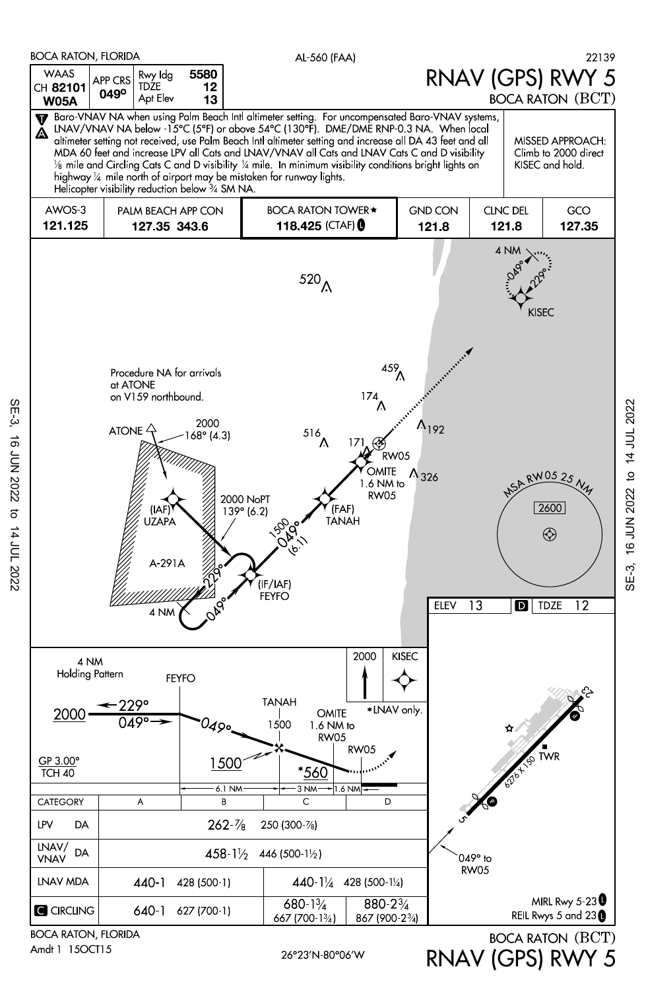

Amdt 1 15OCT15

SE-3, 16 JUN 2022 to 14 JUL 2022

14 JUL 2022

16 JUN 2022

 $SE-3$ 

RNAV (GPS) RWY 5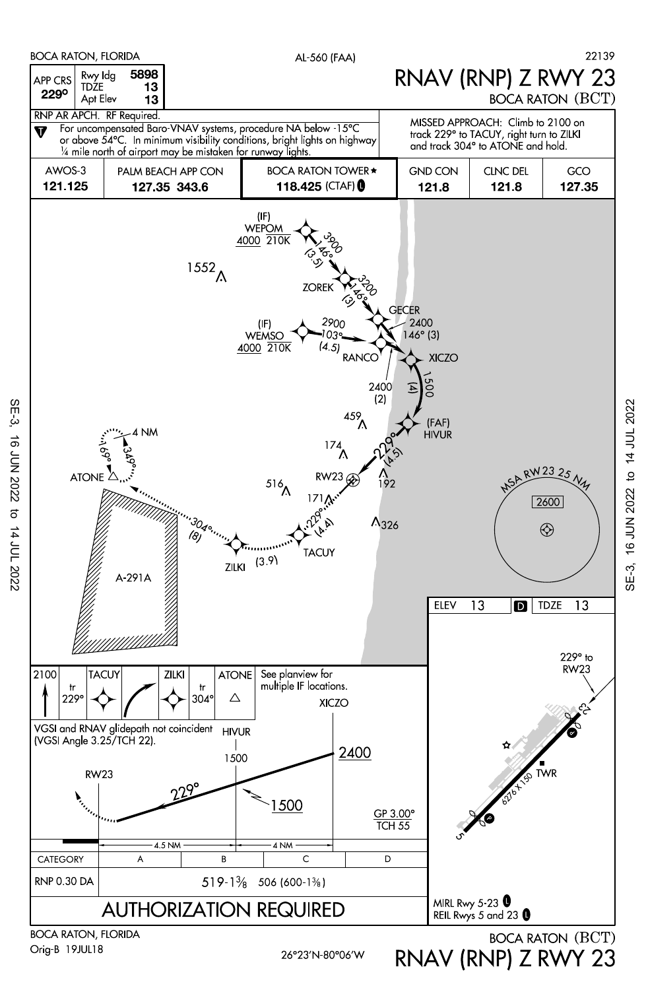

Orig-B 19JUL18

SE-3, 16 JUN 2022 to 14 JUL 2022

 $\sigma$ 

14 JUL 2022

**16 JUN 2022** 

 $SE-3$ 

26°23'N-80°06'W

RNAV (RNP) Z RWY 23